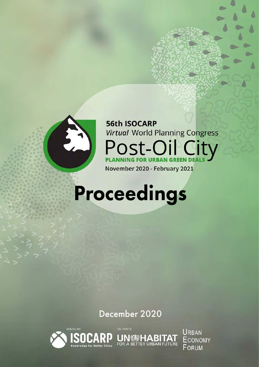

**56th ISOCARP Virtual World Planning Congress** Post-Oil City **NNING FOR URBAN GREEN** PLA November 2020 - February 2021

## Proceedings

December 2020

**UN @HABITAT** 



**URBAN ECONOMY** FORUM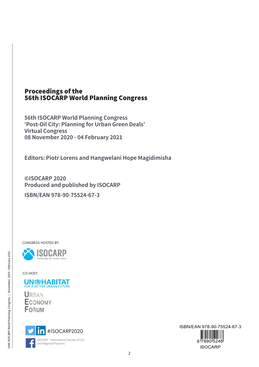### Proceedings of the 56th ISOCARP World Planning Congress

**56th ISOCARP World Planning Congress 'Post-Oil City: Planning for Urban Green Deals' Virtual Congress 08 November 2020 - 04 February 2021**

**Editors: Piotr Lorens and Hangwelani Hope Magidimisha**

**©ISOCARP 2020 Produced and published by ISOCARP ISBN/EAN 978-90-75524-67-3**

CONGRESS HOSTED BY:



CO-HOST:



**URBAN ECONOMY** FORUM



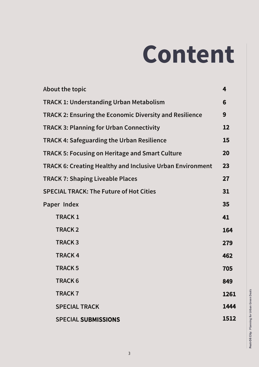# Content

| <b>About the topic</b>                                           | 4    |
|------------------------------------------------------------------|------|
| <b>TRACK 1: Understanding Urban Metabolism</b>                   | 6    |
| <b>TRACK 2: Ensuring the Economic Diversity and Resilience</b>   | 9    |
| <b>TRACK 3: Planning for Urban Connectivity</b>                  | 12   |
| <b>TRACK 4: Safeguarding the Urban Resilience</b>                | 15   |
| <b>TRACK 5: Focusing on Heritage and Smart Culture</b>           | 20   |
| <b>TRACK 6: Creating Healthy and Inclusive Urban Environment</b> | 23   |
| <b>TRACK 7: Shaping Liveable Places</b>                          | 27   |
| <b>SPECIAL TRACK: The Future of Hot Cities</b>                   | 31   |
| Paper Index                                                      | 35   |
| <b>TRACK1</b>                                                    | 41   |
| <b>TRACK2</b>                                                    | 164  |
| <b>TRACK3</b>                                                    | 279  |
| <b>TRACK4</b>                                                    | 462  |
| <b>TRACK 5</b>                                                   | 705  |
| <b>TRACK 6</b>                                                   | 849  |
| <b>TRACK7</b>                                                    | 1261 |
| <b>SPECIAL TRACK</b>                                             | 1444 |
| <b>SPECIAL SUBMISSIONS</b>                                       | 1512 |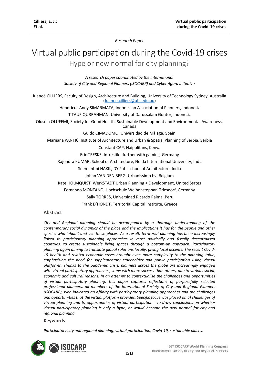*Research Paper* 

### <span id="page-3-0"></span>Virtual public participation during the Covid-19 crises Hype or new normal for city planning?

*A research paper coordinated by the International Society of City and Regional Planners (ISOCARP) and Cyber Agora initiative*

Juaneé CILLIERS, Faculty of Design, Architecture and Building, University of Technology Sydney, Australia [\(Juanee.cilliers@uts.edu.au\)](mailto:Juanee.cilliers@uts.edu.au)

Hendricus Andy SIMARMATA, Indonesian Association of Planners, Indonesia T TAUFIQURRAHMAN, University of Darussalam Gontor, Indonesia

Olusola OLUFEMI, Society for Good Health, Sustainable Development and Environmental Awareness, Canada

Guido CIMADOMO, Universidad de Málaga, Spain

Marijana PANTIĆ, Institute of Architecture and Urban & Spatial Planning of Serbia, Serbia

Constant CAP, Naipolitans, Kenya

Eric TRESKE, Intrestik - further with gaming, Germany

Rajendra KUMAR, School of Architecture, Noida International University, India

Seemantini NAKIL, DY Patil school of Architecture, India

Johan VAN DEN BERG, Urbanissimo bv, Belgium

Kate HOLMQUIST, WerkSTADT Urban Planning + Development, United States

Fernando MONTANO, Hochschule Weihenstephan-Triesdorf, Germany

Sally TORRES, Universidad Ricardo Palma, Peru

Frank D'HONDT, Territorial Capital Institute, Greece

#### **Abstract**

*City and Regional planning should be accompanied by a thorough understanding of the contemporary social dynamics of the place and the implications it has for the people and other species who inhabit and use these places. As a result, territorial planning has been increasingly linked to participatory planning approaches in most politically and fiscally decentralised countries, to create sustainable living spaces through a bottom-up approach. Participatory planning again aiming to translate global solutions locally, giving local accents. The recent Covid-19 health and related economic crises brought even more complexity to the planning table, emphasising the need for supplementary stakeholder and public participation using virtual platforms. Thanks to the pandemic crisis, planners across the globe are increasingly engaged with virtual participatory approaches, some with more success than others, due to various social, economic and cultural reasons. In an attempt to contextualise the challenges and opportunities of virtual participatory planning, this paper captures reflections of purposefully selected professional planners, all members of the International Society of City and Regional Planners (ISOCARP), who indicated an affinity with participatory planning approaches and the challenges and opportunities that the virtual platform provides. Specific focus was placed on a) challenges of virtual planning and b) opportunities of virtual participation - to draw conclusions on whether virtual participatory planning is only a hype, or would become the new normal for city and regional planning.*

#### **Keywords**

*Participatory city and regional planning, virtual participation, Covid-19, sustainable places.*

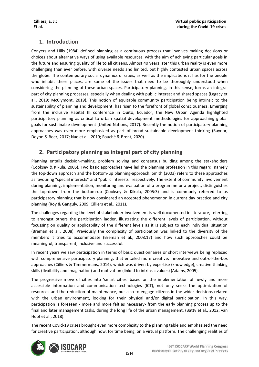#### **1. Introduction**

Conyers and Hills (1984) defined planning as a continuous process that involves making decisions or choices about alternative ways of using available resources, with the aim of achieving particular goals in the future and ensuring quality of life to all citizens. Almost 40 years later this urban reality is even more challenging than ever before, with diverse needs and limited, but highly contested urban spaces across the globe. The contemporary social dynamics of cities, as well as the implications it has for the people who inhabit these places, are some of the issues that need to be thoroughly understood when considering the planning of these urban spaces. Participatory planning, in this sense, forms an integral part of city planning processes, especially when dealing with public interest and shared spaces (Legacy et al., 2019; McClymont, 2019). This notion of equitable community participation being intrinsic to the sustainability of planning and development, has risen to the forefront of global consciousness. Emerging from the inclusive Habitat III conference in Quito, Ecuador, the New Urban Agenda highlighted participatory planning as critical to urban spatial development methodologies for approaching global goals for sustainable development (United Nations, 2017). Recently the notion of participatory planning approaches was even more emphasized as part of broad sustainable development thinking (Raynor, Doyon & Beer, 2017; Nae et al., 2019; Fouché & Brent, 2020).

#### **2. Participatory planning as integral part of city planning**

Planning entails decision-making, problem solving and consensus building among the stakeholders (Cooksey & Kikula, 2005). Two basic approaches have led the planning profession in this regard, namely the top-down approach and the bottom-up planning-approach. Smith (2003) refers to these approaches as favouring "special interests" and "public interests" respectively. The extent of community involvement during planning, implementation, monitoring and evaluation of a programme or a project, distinguishes the top-down from the bottom-up (Cooksey & Kikula, 2005:3) and is commonly referred to as participatory planning that is now considered an accepted phenomenon in current day practice and city planning (Roy & Ganguly, 2009; Cilliers et al., 2011).

The challenges regarding the level of stakeholder involvement is well documented in literature, referring to amongst others the participation ladder, illustrating the different levels of participation, without focussing on quality or applicability of the different levels as it is subject to each individual situation (Breman et al., 2008). Previously the complexity of participation was linked to the diversity of the members it tries to accommodate (Breman et al., 2008:17) and how such approaches could be meaningful, transparent, inclusive and successful.

In recent years we saw participation in terms of basic questionnaires or short interviews being replaced with comprehensive participatory planning, that entailed more creative, innovative and out-of-the-box approaches (Cilliers & Timmermans, 2014), which was driven by expertise (knowledge), creative thinking skills (flexibility and imagination) and motivation (linked to intrinsic values) (Adams, 2005).

The progressive move of cities into 'smart cities' based on the implementation of newly and more accessible information and communication technologies (ICT), not only seeks the optimization of resources and the reduction of maintenance, but also to engage citizens in the wider decisions related with the urban environment, looking for their physical and/or digital participation. In this way, participation is foreseen - more and more felt as necessary- from the early planning process up to the final and later management tasks, during the long life of the urban management. (Batty et al., 2012; van Hoof et al., 2018).

The recent Covid-19 crises brought even more complexity to the planning table and emphasised the need for creative participation, although now, for time being, on a virtual platform. The challenging realities of

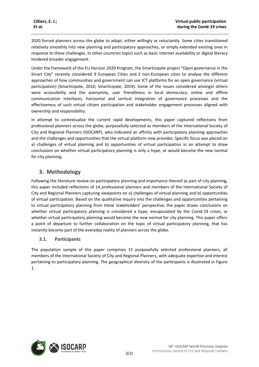2020 forced planners across the globe to adapt, either willingly or reluctantly. Some cities transitioned relatively smoothly into new planning and participatory approaches, or simply extended existing ones in response to these challenges. In other countries topics such as basic internet availability or digital literacy hindered broader engagement.

Under the framework of the EU Horizon 2020 Program, the Smarticipate project "Open governance in the Smart City" recently considered 9 European Cities and 2 non-European cities to analyse the different approaches of how communities and government can use ICT platforms for an open governance (virtual participation) (Smarticipate, 2016; Smarticipate, 2019). Some of the issues considered amongst others were accessibility and the anonymity, user friendliness in local democracy, online and offline communication interfaces, horizontal and vertical integration of governance processes and the effectiveness of such virtual citizen participation and stakeholder engagement processes aligned with ownership and responsibility.

In attempt to contextualise the current rapid developments, this paper captured reflections from professional planners across the globe, purposefully selected as members of the International Society of City and Regional Planners (ISOCARP), who indicated an affinity with participatory planning approaches and the challenges and opportunities that the virtual platform now provides. Specific focus was placed on a) challenges of virtual planning and b) opportunities of virtual participation in an attempt to draw conclusions on whether virtual participatory planning is only a hype, or would become the new normal for city planning.

#### **3. Methodology**

Following the literature review on participatory planning and importance thereof as part of city planning, this paper included reflections of 14 professional planners and members of the International Society of City and Regional Planners capturing viewpoints on a) challenges of virtual planning and b) opportunities of virtual participation. Based on the qualitative inquiry into the challenges and opportunities pertaining to virtual participatory planning from these stakeholders' perspective, the paper draws conclusions on whether virtual participatory planning is considered a hype, encapsulated by the Covid-19 crises, or whether virtual participatory planning would become the new normal for city planning. This paper offers a point of departure to further collaboration on the topic of virtual participatory planning, that has instantly become part of the everyday reality of planners across the globe.

#### **3.1. Participants**

The population sample of this paper comprises 15 purposefully selected professional planners, all members of the International Society of City and Regional Planners, with adequate expertise and interest pertaining to participatory planning. The geographical diversity of the participants is illustrated in Figure 1.

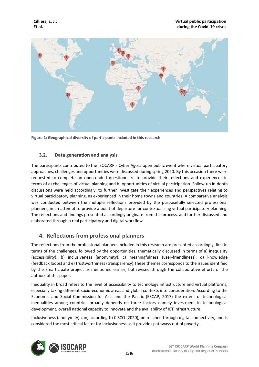

**Figure 1: Geographical diversity of participants included in this research**

#### **3.2. Data generation and analysis**

The participants contributed to the ISOCARP's Cyber Agora open public event where virtual participatory approaches, challenges and opportunities were discussed during spring 2020. By this occasion there were requested to complete an open-ended questionnaire to provide their reflections and experiences in terms of a) challenges of virtual planning and b) opportunities of virtual participation. Follow-up in-depth discussions were held accordingly, to further investigate their experiences and perspectives relating to virtual participatory planning, as experienced in their home towns and countries. A comparative analysis was conducted between the multiple reflections provided by the purposefully selected professional planners, in an attempt to provide a point of departure for contextualising virtual participatory planning. The reflections and findings presented accordingly originate from this process, and further discussed and elaborated through a real participatory and digital workflow.

#### **4. Reflections from professional planners**

The reflections from the professional planners included in this research are presented accordingly, first in terms of the challenges, followed by the opportunities, thematically discussed in terms of a) inequality (accessibility), b) inclusiveness (anonymity), c) meaningfulness (user-friendliness), d) knowledge (feedback loops) and e) trustworthiness (transparency).These themes corresponds to the issues identified by the Smarticipate project as mentioned earlier, but revised through the collaborative efforts of the authors of this paper.

Inequality in broad refers to the level of accessibility to technology infrastructure and virtual platforms, especially taking different socio-economic areas and global contexts into consideration. According to the Economic and Social Commission for Asia and the Pacific (ESCAP, 2017) the extent of technological inequalities among countries broadly depends on three factors namely investment in technological development, overall national capacity to innovate and the availability of ICT infrastructure.

Inclusiveness (anonymity) can, according to CISCO (2020), be reached through digital connectivity, and is considered the most critical factor for inclusiveness as it provides pathways out of poverty.

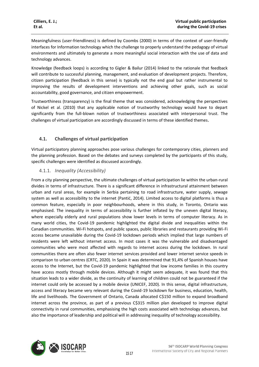Meaningfulness (user-friendliness) is defined by Coombs (2000) in terms of the context of user-friendly interfaces for Information technology which the challenge to properly understand the pedagogy of virtual environments and ultimately to generate a more meaningful social interaction with the use of data and technology advances.

Knowledge (feedback loops) is according to Gigler & Bailur (2014) linked to the rationale that feedback will contribute to successful planning, management, and evaluation of development projects. Therefore, citizen participation (feedback in this sense) is typically not the end goal but rather instrumental to improving the results of development interventions and achieving other goals, such as social accountability, good governance, and citizen empowerment.

Trustworthiness (transparency) is the final theme that was considered, acknowledging the perspectives of Nickel et al. (2010) that any applicable notion of trustworthy technology would have to depart significantly from the full-blown notion of trustworthiness associated with interpersonal trust. The challenges of virtual participation are accordingly discussed in terms of these identified themes.

#### **4.1. Challenges of virtual participation**

Virtual participatory planning approaches pose various challenges for contemporary cities, planners and the planning profession. Based on the debates and surveys completed by the participants of this study, specific challenges were identified as discussed accordingly.

#### 4.1.1. *Inequality (Accessibility)*

From a city planning perspective, the ultimate challenges of virtual participation lie within the urban-rural divides in terms of infrastructure. There is a significant difference in infrastructural attainment between urban and rural areas, for example in Serbia pertaining to road infrastructure, water supply, sewage system as well as accessibility to the internet (Pantić, 2014). Limited access to digital platforms is thus a common feature, especially in poor neighbourhoods, where in this study, in Toronto, Ontario was emphasised. The inequality in terms of accessibility is further inflated by the uneven digital literacy, where especially elderly and rural populations show lower levels in terms of computer literacy. As in many world cities, the Covid-19 pandemic highlighted the digital divide and inequalities within the Canadian communities. Wi-Fi hotspots, and public spaces, public libraries and restaurants providing Wi-Fi access became unavailable during the Covid-19 lockdown periods which implied that large numbers of residents were left without internet access. In most cases it was the vulnerable and disadvantaged communities who were most affected with regards to internet access during the lockdown. In rural communities there are often also fewer internet services provided and lower internet service speeds in comparison to urban centres (CRTC, 2020). In Spain it was determined that 91,4% of Spanish houses have access to the Internet, but the Covid-19 pandemic highlighted that low income families in this country have access mostly through mobile devices. Although it might seem adequate, it was found that this situation leads to a wider divide, as the continuity of learning of children could not be guaranteed if the internet could only be accessed by a mobile device (UNICEF, 2020). In this sense, digital infrastructure, access and literacy became very relevant during the Covid-19 lockdown for business, education, health, life and livelihoods. The Government of Ontario, Canada allocated C\$150 million to expand broadband internet across the province, as part of a previous C\$315 million plan developed to improve digital connectivity in rural communities, emphasising the high costs associated with technology advances, but also the importance of leadership and political will in addressing inequality of technology accessibility.

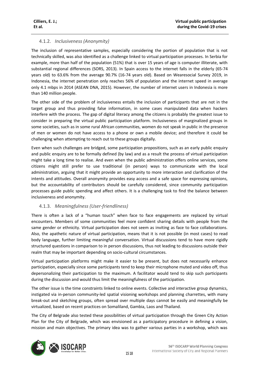#### 4.1.2. *Inclusiveness (Anonymity)*

The inclusion of representative samples, especially considering the portion of population that is not technically skilled, was also identified as a challenge linked to virtual participation processes. In Serbia for example, more than half of the population (51%) that is over 15 years of age is computer illiterate, with substantial regional differences (SORS, 2013). In Spain access to the internet falls in the elderly (65-74 years old) to 63.6% from the average 90.7% (16-74 years old). Based on Wearesocial Survey 2019, in Indonesia, the internet penetration only reaches 56% of population and the internet speed in average only 4.1 mbps in 2014 (ASEAN DNA, 2015). However, the number of internet users in Indonesia is more than 140 million people.

The other side of the problem of inclusiveness entails the inclusion of participants that are not in the target group and thus providing false information, in some cases manipulated data when hackers interfere with the process. The gap of digital literacy among the citizens is probably the greatest issue to consider in preparing the virtual public participation platform. Inclusiveness of marginalized groups in some societies, such as in some rural African communities, women do not speak in public in the presence of men or women do not have access to a phone or own a mobile device; and therefore it could be challenging when attempting to reach out to these groups digitally.

Even when such challenges are bridged, some participation propositions, such as an early public enquiry and public enquiry are to be formally defined (by law) and as a result the process of virtual participation might take a long time to realise. And even when the public administration offers online services, some citizens might still prefer to use traditional (in person) ways to communicate with the local administration, arguing that it might provide an opportunity to more interaction and clarification of the intents and attitudes. Overall anonymity provides easy access and a safe space for expressing opinions, but the accountability of contributors should be carefully considered, since community participation processes guide public spending and affect others. It is a challenging task to find the balance between inclusiveness and anonymity.

#### 4.1.3. *Meaningfulness (User-friendliness)*

There is often a lack of a "human touch" when face to face engagements are replaced by virtual encounters. Members of some communities feel more confident sharing details with people from the same gender or ethnicity. Virtual participation does not seem as inviting as face to face collaborations. Also, the apathetic nature of virtual participation, means that it is not possible (in most cases) to read body language, further limiting meaningful conversation. Virtual discussions tend to have more rigidly structured questions in comparison to in person discussions, thus not leading to discussions outside their realm that may be important depending on socio-cultural circumstances.

Virtual participation platforms might make it easier to be present, but does not necessarily enhance participation, especially since some participants tend to keep their microphone muted and video off, thus depersonalizing their participation to the maximum. A facilitator would tend to skip such participants during the discussion and would thus limit the meaningfulness of the participation.

The other issue is the time constraints linked to online events. Collective and interactive group dynamics, instigated via in-person community-led spatial visioning workshops and planning charrettes, with many break-out and sketching groups, often spread over multiple days cannot be easily and meaningfully be virtualized, based on recent practices on Somaliland, Gambia, Laos and Thailand.

The City of Belgrade also tested these possibilities of virtual participation through the Green City Action Plan for the City of Belgrade, which was envisioned as a participatory procedure in defining a vision, mission and main objectives. The primary idea was to gather various parties in a workshop, which was

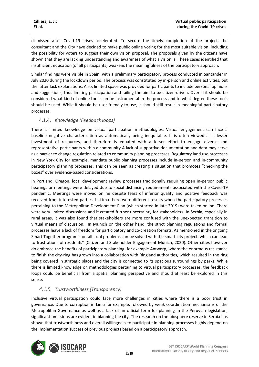dismissed after Covid-19 crises accelerated. To secure the timely completion of the project, the consultant and the City have decided to make public online voting for the most suitable vision, including the possibility for voters to suggest their own vision proposal. The proposals given by the citizens have shown that they are lacking understanding and awareness of what a vision is. These cases identified that insufficient education (of all participants) weakens the meaningfulness of the participatory approach.

Similar findings were visible in Spain, with a preliminary participatory process conducted in Santander in July 2020 during the lockdown period. The process was constituted by in-person and online activities, but the latter lack explanations. Also, limited space was provided for participants to include personal opinions and suggestions, thus limiting participation and failing the aim to be citizen-driven. Overall it should be considered what kind of online tools can be instrumental in the process and to what degree these tools should be used. While it should be user-friendly to use, it should still result in meaningful participatory processes.

#### 4.1.4. *Knowledge (Feedback loops)*

There is limited knowledge on virtual participation methodologies. Virtual engagement can face a baseline negative characterization as automatically being inequitable. It is often viewed as a lesser investment of resources, and therefore is equated with a lesser effort to engage diverse and representative participants within a community A lack of supportive documentation and data may serve as a barrier to change regulation related to community planning processes. Regulatory land use processes in New York City for example, mandate public planning processes include in-person and in-community participatory planning processes. This can be seen as creating a situation that promotes "checking the boxes" over evidence-based considerations.

In Portland, Oregon, local development review processes traditionally requiring open in-person public hearings or meetings were delayed due to social distancing requirements associated with the Covid-19 pandemic. Meetings were moved online despite fears of inferior quality and positive feedback was received from interested parties. In Lima there were different results when the participatory processes pertaining to the Metropolitan Development Plan (which started in late 2019) were taken online. There were very limited discussions and it created further uncertainty for stakeholders. In Serbia, especially in rural areas, it was also found that stakeholders are more confused with the unexpected transition to virtual means of discussion. In Munich on the other hand, the strict planning regulations and formal processes leave a lack of freedom for participatory and co-creation formats. As mentioned in the ongoing Smart Together program "not all local problems can be solved with the smart city project, which can lead to frustrations of residents" (Citizen and Stakeholder Engagement Munich, 2020). Other cities however do embrace the benefits of participatory planning, for example Antwerp, where the enormous resistance to finish the city-ring has grown into a collaboration with Ringland authorities, which resulted in the ring being covered in strategic places and the city is connected to its spacious surroundings by parks. While there is limited knowledge on methodologies pertaining to virtual participatory processes, the feedback loops could be beneficial from a spatial planning perspective and should at least be explored in this sense.

#### *4.1.5. Trustworthiness (Transparency)*

Inclusive virtual participation could face more challenges in cities where there is a poor trust in governance. Due to corruption in Lima for example, followed by weak coordination mechanisms of the Metropolitan Governance as well as a lack of an official term for planning in the Peruvian legislation, significant omissions are evident in planning the city. The research on the biosphere reserve in Serbia has shown that trustworthiness and overall willingness to participate in planning processes highly depend on the implementation success of previous projects based on a participatory approach.

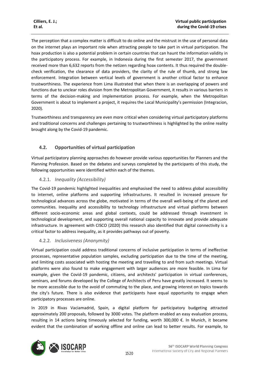The perception that a complex matter is difficult to do online and the mistrust in the use of personal data on the internet plays an important role when attracting people to take part in virtual participation. The hoax production is also a potential problem in certain countries that can haunt the information validity in the participatory process. For example, in Indonesia during the first semester 2017, the government received more than 6,632 reports from the netizen regarding hoax contents. It thus required the doublecheck verification, the clearance of data providers, the clarity of the rule of thumb, and strong law enforcement. Integration between vertical levels of government is another critical factor to enhance trustworthiness. The experience from Lima illustrated that when there is an overlapping of powers and functions due to unclear roles division from the Metropolitan Government, it results in various barriers in terms of the decision-making and implementation process. For example, when the Metropolitan Government is about to implement a project, it requires the Local Municipality's permission (Integracion, 2020).

Trustworthiness and transparency are even more critical when considering virtual participatory platforms and traditional concerns and challenges pertaining to trustworthiness is highlighted by the online reality brought along by the Covid-19 pandemic.

#### **4.2. Opportunities of virtual participation**

Virtual participatory planning approaches do however provide various opportunities for Planners and the Planning Profession. Based on the debates and surveys completed by the participants of this study, the following opportunities were identified within each of the themes.

#### 4.2.1. *Inequality (Accessibility)*

The Covid-19 pandemic highlighted inequalities and emphasised the need to address global accessibility to internet, online platforms and supporting infrastructures. It resulted in increased pressure for technological advances across the globe, motivated in terms of the overall well-being of the planet and communities. Inequality and accessibility to technology infrastructure and virtual platforms between different socio-economic areas and global contexts, could be addressed through investment in technological development, and supporting overall national capacity to innovate and provide adequate infrastructure. In agreement with CISCO (2020) this research also identified that digital connectivity is a critical factor to address inequality, as it provides pathways out of poverty.

#### 4.2.2. *Inclusiveness (Anonymity)*

Virtual participation could address traditional concerns of inclusive participation in terms of ineffective processes, representative population samples, excluding participation due to the time of the meeting, and limiting costs associated with hosting the meeting and travelling to and from such meetings. Virtual platforms were also found to make engagement with larger audiences are more feasible. In Lima for example, given the Covid-19 pandemic, citizens, and architects' participation in virtual conferences, seminars, and forums developed by the College of Architects of Peru have greatly increased. It seems to be more accessible due to the avoid of commuting to the place, and growing interest on topics towards the city's future. There is also evidence that participants have equal opportunity to engage when participatory processes are online.

In 2019 in Rivas Vaciamadrid, Spain, a digital platform for participatory budgeting attracted approximately 200 proposals, followed by 3000 votes. The platform enabled an easy evaluation process, resulting in 14 actions being timeously selected for funding, worth 300,000 €. In Munich, it became evident that the combination of working offline and online can lead to better results. For example, to

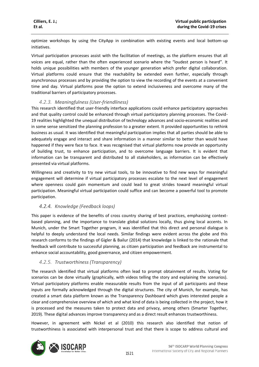optimize workshops by using the CityApp in combination with existing events and local bottom-up initiatives.

Virtual participation processes assist with the facilitation of meetings, as the platform ensures that all voices are equal, rather than the often experienced scenario where the "loudest person is heard". It holds unique possibilities with members of the younger generation which prefer digital collaboration. Virtual platforms could ensure that the reachability be extended even further, especially through asynchronous processes and by providing the option to view the recording of the events at a convenient time and day. Virtual platforms pose the option to extend inclusiveness and overcome many of the traditional barriers of participatory processes.

#### *4.2.3. Meaningfulness (User-friendliness)*

This research identified that user-friendly interface applications could enhance participatory approaches and that quality control could be enhanced through virtual participatory planning processes. The Covid-19 realities highlighted the unequal distribution of technology advances and socio-economic realities and in some sense sensitized the planning profession to a greater extent. It provided opportunities to rethink business as usual. It was identified that meaningful participation implies that all parties should be able to adequately engage and interact and share information in a manner similar to better than would have happened if they were face to face. It was recognised that virtual platforms now provide an opportunity of building trust, to enhance participation, and to overcome language barriers. It is evident that information can be transparent and distributed to all stakeholders, as information can be effectively presented via virtual platforms.

Willingness and creativity to try new virtual tools, to be innovative to find new ways for meaningful engagement will determine if virtual participatory processes escalate to the next level of engagement where openness could gain momentum and could lead to great strides toward meaningful virtual participation. Meaningful virtual participation could suffice and can become a powerful tool to promote participation.

#### *4.2.4. Knowledge (Feedback loops)*

This paper is evidence of the benefits of cross country sharing of best practices, emphasising contextbased planning, and the importance to translate global solutions locally, thus giving local accents. In Munich, under the Smart Together program, it was identified that this direct and personal dialogue is helpful to deeply understand the local needs. Similar findings were evident across the globe and this research conforms to the findings of Gigler & Bailur (2014) that knowledge is linked to the rationale that feedback will contribute to successful planning, as citizen participation and feedback are instrumental to enhance social accountability, good governance, and citizen empowerment.

#### *4.2.5. Trustworthiness (Transparency)*

The research identified that virtual platforms often lead to prompt obtainment of results. Voting for scenarios can be done virtually (graphically, with videos telling the story and explaining the scenarios). Virtual participatory platforms enable measurable results from the input of all participants and these inputs are formally acknowledged through the digital structures. The city of Munich, for example, has created a smart data platform known as the Transparency Dashboard which gives interested people a clear and comprehensive overview of which and what kind of data is being collected in the project, how it is processed and the measures taken to protect data and privacy, among others (Smarter Together, 2019). These digital advances improve transparency and as a direct result enhances trustworthiness.

However, in agreement with Nickel et al (2010) this research also identified that notion of trustworthiness is associated with interpersonal trust and that there is scope to address cultural and

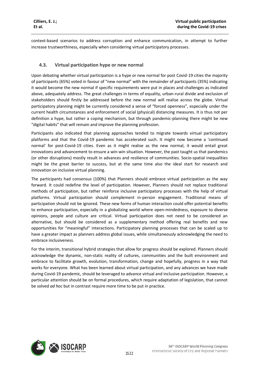context-based scenarios to address corruption and enhance communication, in attempt to further increase trustworthiness, especially when considering virtual participatory processes.

#### **4.3. Virtual participation hype or new normal**

Upon debating whether virtual participation is a hype or new normal for post Covid-19 cities the majority of participants (65%) voted in favour of "new normal" with the remainder of participants (35%) indicating it would become the new normal if specific requirements were put in places and challenges as indicated above, adequately address. The great challenges in terms of equality, urban-rural divide and exclusion of stakeholders should firstly be addressed before the new normal will realise across the globe. Virtual participatory planning might be currently considered a sense of "forced openness", especially under the current health circumstances and enforcement of social (physical) distancing measures. It is thus not per definition a hype, but rather a coping mechanism, but through pandemic-planning there might be new "digital habits" that will remain and improve the planning profession.

Participants also indicated that planning approaches tended to migrate towards virtual participatory platforms and that the Covid-19 pandemic has accelerated such. It might now become a 'continued normal' for post-Covid-19 cities. Even as it might realise as the new normal, it would entail great innovations and advancement to ensure a win-win situation. However, the past taught us that pandemics (or other disruptions) mostly result in advances and resilience of communities. Socio-spatial inequalities might be the great barrier to success, but at the same time also the ideal start for research and innovation on inclusive virtual planning.

The participants had consensus (100%) that Planners should embrace virtual participation as the way forward. It could redefine the level of participation. However, Planners should not replace traditional methods of participation, but rather reinforce inclusive participatory processes with the help of virtual platforms. Virtual participation should complement in-person engagement. Traditional means of participation should not be ignored. These new forms of human interaction could offer potential benefits to enhance participation, especially in a globalizing world where open-mindedness, exposure to diverse opinions, people and culture are critical. Virtual participation does not need to be considered an alternative, but should be considered as a supplementary method offering real benefits and new opportunities for "meaningful" interactions. Participatory planning processes that can be scaled up to have a greater impact as planners address global issues, while simultaneously acknowledging the need to embrace inclusiveness.

For the interim, transitional hybrid strategies that allow for progress should be explored. Planners should acknowledge the dynamic, non-static reality of cultures, communities and the built environment and embrace to facilitate growth, evolution, transformation, change and hopefully, progress in a way that works for everyone. What has been learned about virtual participation, and any advances we have made during Covid-19 pandemic, should be leveraged to advance virtual and inclusive participation. However, a particular attention should be on formal procedures, which require adaptation of legislation, that cannot be solved *ad hoc* but in contrast require more time to be put in practice.

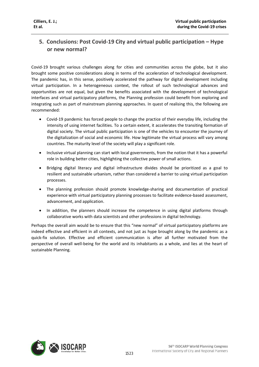#### **5. Conclusions: Post Covid-19 City and virtual public participation – Hype or new normal?**

Covid-19 brought various challenges along for cities and communities across the globe, but it also brought some positive considerations along in terms of the acceleration of technological development. The pandemic has, in this sense, positively accelerated the pathway for digital development including virtual participation. In a heterogeneous context, the rollout of such technological advances and opportunities are not equal, but given the benefits associated with the development of technological interfaces and virtual participatory platforms, the Planning profession could benefit from exploring and integrating such as part of mainstream planning approaches. In quest of realising this, the following are recommended:

- Covid-19 pandemic has forced people to change the practice of their everyday life, including the intensity of using internet facilities. To a certain extent, it accelerates the transiting formation of digital society. The virtual public participation is one of the vehicles to encounter the journey of the digitalization of social and economic life. How legitimate the virtual process will vary among countries. The maturity level of the society will play a significant role.
- Inclusive virtual planning can start with local governments, from the notion that it has a powerful role in building better cities, highlighting the collective power of small actions.
- Bridging digital literacy and digital infrastructure divides should be prioritized as a goal to resilient and sustainable urbanism, rather than considered a barrier to using virtual participation processes.
- The planning profession should promote knowledge-sharing and documentation of practical experience with virtual participatory planning processes to facilitate evidence-based assessment, advancement, and application.
- In addition, the planners should increase the competence in using digital platforms through collaborative works with data scientists and other professions in digital technology.

Perhaps the overall aim would be to ensure that this "new normal" of virtual participatory platforms are indeed effective and efficient in all contexts, and not just as hype brought along by the pandemic as a quick-fix solution. Effective and efficient communication is after all further motivated from the perspective of overall well-being for the world and its inhabitants as a whole, and lies at the heart of sustainable Planning.

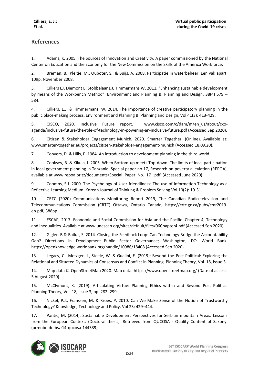#### **References**

1. Adams, K. 2005. The Sources of Innovation and Creativity. A paper commissioned by the National Center on Education and the Economy for the New Commission on the Skills of the America Workforce.

2. Breman, B., Pleitje, M., Ouboter, S., & Buijs, A. 2008. Participatie in waterbeheer. Een vak apart. 109p. November 2008.

3. Cilliers EJ, Diemont E, Stobbelaar DJ, Timmermans W, 2011, "Enhancing sustainable development by means of the Workbench Method". Environment and Planning B: Planning and Design, 38(4) 579 – 584.

4. Cilliers, E.J. & Timmermans, W. 2014. The importance of creative participatory planning in the public place-making process. Environment and Planning B: Planning and Design, Vol 41(3): 413-429.

5. CISCO, 2020. Inclusive Future report. www.cisco.com/c/dam/m/en\_us/about/cxoagenda/inclusive-future/the-role-of-technology-in-powering-an-inclusive-future.pdf (Accessed Sep 2020).

6. Citizen & Stakeholder Engagement Munich, 2020. Smarter Together. (Online). Available at: www.smarter-together.eu/projects/citizen-stakeholder-engagement-munich (Accessed 18.09.20).

7. Conyers, D. & Hills, P. 1984. An introduction to development planning in the third world.

8. Cooksey, B. & Kikula, I. 2005. When Bottom-up meets Top-down: The limits of local participation in local government planning in Tanzania. Special paper no 17, Research on poverty alleviation (REPOA), available at www.repoa.or.tz/documents/Special\_Paper\_No.\_17\_.pdf (Accessed June 2020)

9. Coombs, S.J. 2000. The Psychology of User-friendliness: The use of Information Technology as a Reflective Learning Medium. Korean Journal of Thinking & Problem Solving Vol.10(2): 19-31.

10. CRTC (2020) Communications Monitoring Report 2019, The Canadian Radio-television and Telecommunications Commission (CRTC) Ottawa, Ontario Canada, https://crtc.gc.ca/pubs/cmr2019 en.pdf, 388pp.

11. ESCAP, 2017. Economic and Social Commission for Asia and the Pacific. Chapter 4, Technology and inequalities. Available at www.unescap.org/sites/default/files/06Chapter4.pdf (Accessed Sep 2020).

12. Gigler, B & Bailur, S. 2014. Closing the Feedback Loop: Can Technology Bridge the Accountability Gap? Directions in Development--Public Sector Governance; Washington, DC: World Bank. https://openknowledge.worldbank.org/handle/10986/18408 (Accessed Sep 2020).

13. Legacy, C., Metzger, J., Steele, W. & Gualini, E. (2019): Beyond the Post-Political: Exploring the Relational and Situated Dynamics of Consensus and Conflict in Planning. Planning Theory, Vol. 18, Issue 3.

14. Map data © OpenStreetMap 2020. Map data. https://www.openstreetmap.org/ (Date of access: 5 August 2020).

15. McClymont, K. (2019): Articulating Virtue: Planning Ethics within and Beyond Post Politics. Planning Theory, Vol. 18, Issue 3, pp. 282–299.

16. Nickel, P.J., Franssen, M. & Kroes, P. 2010. Can We Make Sense of the Notion of Trustworthy Technology? Knowledge, Technology and Policy, Vol 23: 429–444.

17. Pantić, M. (2014). Sustainable Development Perspectives for Serbian mountain Areas: Lessons from the European Context. (Doctoral thesis). Retrieved from QUCOSA - Quality Content of Saxony. (urn:nbn:de:bsz:14-qucosa-144339).

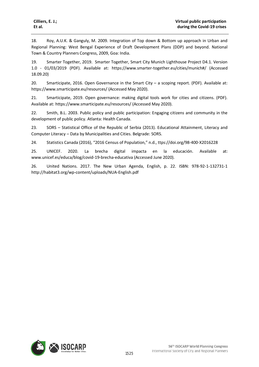18. Roy, A.U.K. & Ganguly, M. 2009. Integration of Top down & Bottom up approach in Urban and Regional Planning: West Bengal Experience of Draft Development Plans (DDP) and beyond. National Town & Country Planners Congress, 2009, Goa: India.

19. Smarter Together, 2019. Smarter Together, Smart City Munich Lighthouse Project D4.1. Version 1.0 - 01/03/2019 (PDF). Available at: https://www.smarter-together.eu/cities/munich#/ (Accessed 18.09.20)

20. Smarticipate, 2016. Open Governance in the Smart City – a scoping report. (PDF). Available at: https://www.smarticipate.eu/resources/ (Accessed May 2020).

21. Smarticipate, 2019. Open governance: making digital tools work for cities and citizens. (PDF). Available at: https://www.smarticipate.eu/resources/ (Accessed May 2020).

22. Smith, B.L. 2003. Public policy and public participation: Engaging citizens and community in the development of public policy. Atlanta: Health Canada.

23. SORS – Statistical Office of the Republic of Serbia (2013). Educational Attainment, Literacy and Computer Literacy – Data by Municipalities and Cities. Belgrade: SORS.

24. Statistics Canada (2016), "2016 Census of Population," n.d., ttps://doi.org/98-400-X2016228

25. UNICEF. 2020. La brecha digital impacta en la educación. Available at: www.unicef.es/educa/blog/covid-19-brecha-educativa (Accessed June 2020).

26. United Nations. 2017. The New Urban Agenda, English, p. 22. ISBN: 978-92-1-132731-1 http://habitat3.org/wp-content/uploads/NUA-English.pdf